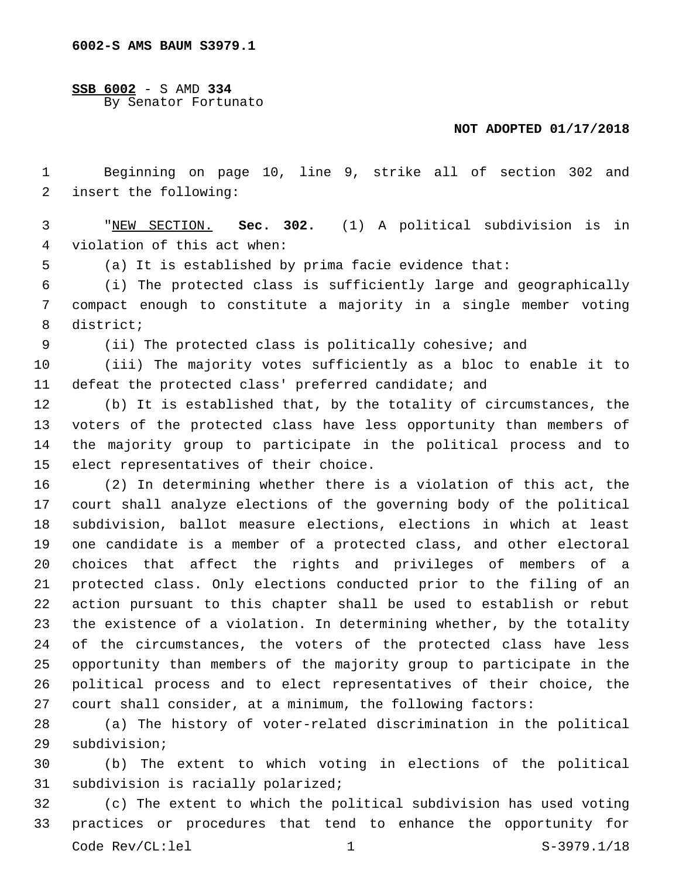**SSB 6002** - S AMD **334** By Senator Fortunato

## **NOT ADOPTED 01/17/2018**

 Beginning on page 10, line 9, strike all of section 302 and 2 insert the following:

 "NEW SECTION. **Sec. 302.** (1) A political subdivision is in violation of this act when:

(a) It is established by prima facie evidence that:

 (i) The protected class is sufficiently large and geographically compact enough to constitute a majority in a single member voting 8 district;

(ii) The protected class is politically cohesive; and

 (iii) The majority votes sufficiently as a bloc to enable it to defeat the protected class' preferred candidate; and

 (b) It is established that, by the totality of circumstances, the voters of the protected class have less opportunity than members of the majority group to participate in the political process and to 15 elect representatives of their choice.

 (2) In determining whether there is a violation of this act, the court shall analyze elections of the governing body of the political subdivision, ballot measure elections, elections in which at least one candidate is a member of a protected class, and other electoral choices that affect the rights and privileges of members of a protected class. Only elections conducted prior to the filing of an action pursuant to this chapter shall be used to establish or rebut the existence of a violation. In determining whether, by the totality of the circumstances, the voters of the protected class have less opportunity than members of the majority group to participate in the political process and to elect representatives of their choice, the court shall consider, at a minimum, the following factors:

 (a) The history of voter-related discrimination in the political 29 subdivision;

 (b) The extent to which voting in elections of the political 31 subdivision is racially polarized;

 (c) The extent to which the political subdivision has used voting practices or procedures that tend to enhance the opportunity for Code Rev/CL:lel 1 1 S-3979.1/18